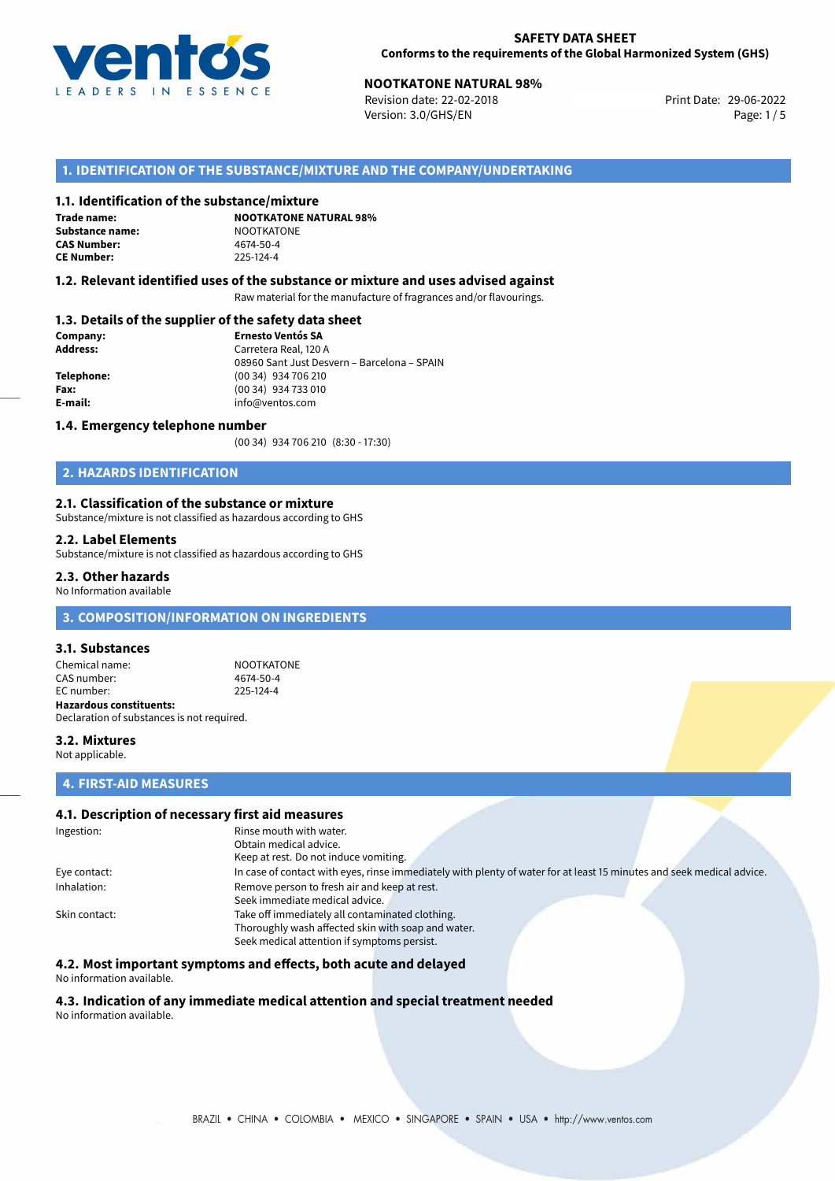

# **NOOTKATONE NATURAL 98%**<br>
Revision date: 22-02-2018<br> **Print Date: 29-06-2022**

Revision date: 22-02-2018 Version: 3.0/GHS/EN Page: 1/5

## **1. IDENTIFICATION OF THE SUBSTANCE/MIXTURE AND THE COMPANY/UNDERTAKING**

### **1.1. Identification of the substance/mixture**

**Trade name: Substance name:** NOOTKATONE<br> **CAS Number:** 4674-50-4 **CAS Number: CE Number:** 225-124-4

**NOOTKATONE NATURAL 98%**

### **1.2. Relevant identified uses of the substance or mixture and uses advised against**

Raw material for the manufacture of fragrances and/or flavourings.

### **1.3. Details of the supplier of the safety data sheet**

| Company:        | <b>Ernesto Ventós SA</b>                    |  |
|-----------------|---------------------------------------------|--|
| <b>Address:</b> | Carretera Real, 120 A                       |  |
|                 | 08960 Sant Just Desvern - Barcelona - SPAIN |  |
| Telephone:      | (00 34) 934 706 210                         |  |
| Fax:            | (00 34) 934 733 010                         |  |
| E-mail:         | info@ventos.com                             |  |
|                 |                                             |  |

### **1.4. Emergency telephone number**

(00 34) 934 706 210 (8:30 - 17:30)

## **2. HAZARDS IDENTIFICATION**

### **2.1. Classification of the substance or mixture**

Substance/mixture is not classified as hazardous according to GHS

### **2.2. Label Elements**

Substance/mixture is not classified as hazardous according to GHS

### **2.3. Other hazards**

No Information available

## **3. COMPOSITION/INFORMATION ON INGREDIENTS**

#### **3.1. Substances**

Chemical name: NOOTKATONE<br>
CAS number: 4674-50-4 CAS number: EC number: 225-124-4 **Hazardous constituents:** Declaration of substances is not required.

### **3.2. Mixtures** Not applicable.

### **4. FIRST-AID MEASURES**

### **4.1. Description of necessary first aid measures**

| Ingestion:    | Rinse mouth with water.                                                                                               |  |  |  |
|---------------|-----------------------------------------------------------------------------------------------------------------------|--|--|--|
|               | Obtain medical advice.                                                                                                |  |  |  |
|               | Keep at rest. Do not induce vomiting.                                                                                 |  |  |  |
| Eye contact:  | In case of contact with eyes, rinse immediately with plenty of water for at least 15 minutes and seek medical advice. |  |  |  |
| Inhalation:   | Remove person to fresh air and keep at rest.                                                                          |  |  |  |
|               | Seek immediate medical advice.                                                                                        |  |  |  |
| Skin contact: | Take off immediately all contaminated clothing.                                                                       |  |  |  |
|               | Thoroughly wash affected skin with soap and water.                                                                    |  |  |  |
|               | Seek medical attention if symptoms persist.                                                                           |  |  |  |

## **4.2. Most important symptoms and effects, both acute and delayed**

#### No information available.

### **4.3. Indication of any immediate medical attention and special treatment needed** No information available.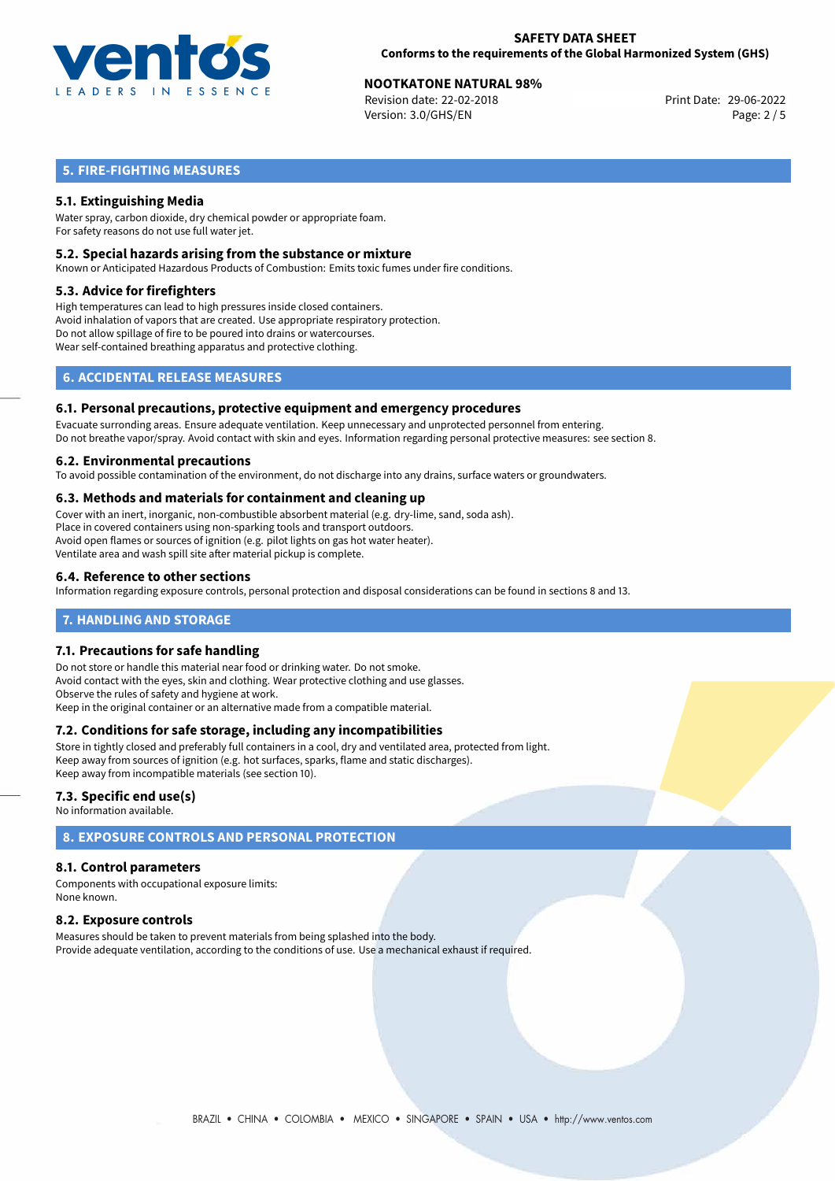

# **NOOTKATONE NATURAL 98%**<br>
Revision date: 22-02-2018<br> **Print Date: 29-06-2022**

Revision date: 22-02-2018 Version: 3.0/GHS/EN Page: 2 / 5

## **5. FIRE-FIGHTING MEASURES**

### **5.1. Extinguishing Media**

Water spray, carbon dioxide, dry chemical powder or appropriate foam. For safety reasons do not use full water jet.

### **5.2. Special hazards arising from the substance or mixture**

Known or Anticipated Hazardous Products of Combustion: Emits toxic fumes under fire conditions.

### **5.3. Advice for firefighters**

High temperatures can lead to high pressures inside closed containers. Avoid inhalation of vapors that are created. Use appropriate respiratory protection. Do not allow spillage of fire to be poured into drains or watercourses. Wear self-contained breathing apparatus and protective clothing.

## **6. ACCIDENTAL RELEASE MEASURES**

### **6.1. Personal precautions, protective equipment and emergency procedures**

Evacuate surronding areas. Ensure adequate ventilation. Keep unnecessary and unprotected personnel from entering. Do not breathe vapor/spray. Avoid contact with skin and eyes. Information regarding personal protective measures: see section 8.

### **6.2. Environmental precautions**

To avoid possible contamination of the environment, do not discharge into any drains, surface waters or groundwaters.

### **6.3. Methods and materials for containment and cleaning up**

Cover with an inert, inorganic, non-combustible absorbent material (e.g. dry-lime, sand, soda ash). Place in covered containers using non-sparking tools and transport outdoors. Avoid open flames or sources of ignition (e.g. pilot lights on gas hot water heater). Ventilate area and wash spill site after material pickup is complete.

### **6.4. Reference to other sections**

Information regarding exposure controls, personal protection and disposal considerations can be found in sections 8 and 13.

### **7. HANDLING AND STORAGE**

### **7.1. Precautions for safe handling**

Do not store or handle this material near food or drinking water. Do not smoke. Avoid contact with the eyes, skin and clothing. Wear protective clothing and use glasses. Observe the rules of safety and hygiene at work. Keep in the original container or an alternative made from a compatible material.

### **7.2. Conditions for safe storage, including any incompatibilities**

Store in tightly closed and preferably full containers in a cool, dry and ventilated area, protected from light. Keep away from sources of ignition (e.g. hot surfaces, sparks, flame and static discharges). Keep away from incompatible materials (see section 10).

### **7.3. Specific end use(s)**

No information available.

## **8. EXPOSURE CONTROLS AND PERSONAL PROTECTION**

### **8.1. Control parameters**

Components with occupational exposure limits: None known.

### **8.2. Exposure controls**

Measures should be taken to prevent materials from being splashed into the body. Provide adequate ventilation, according to the conditions of use. Use a mechanical exhaust if required.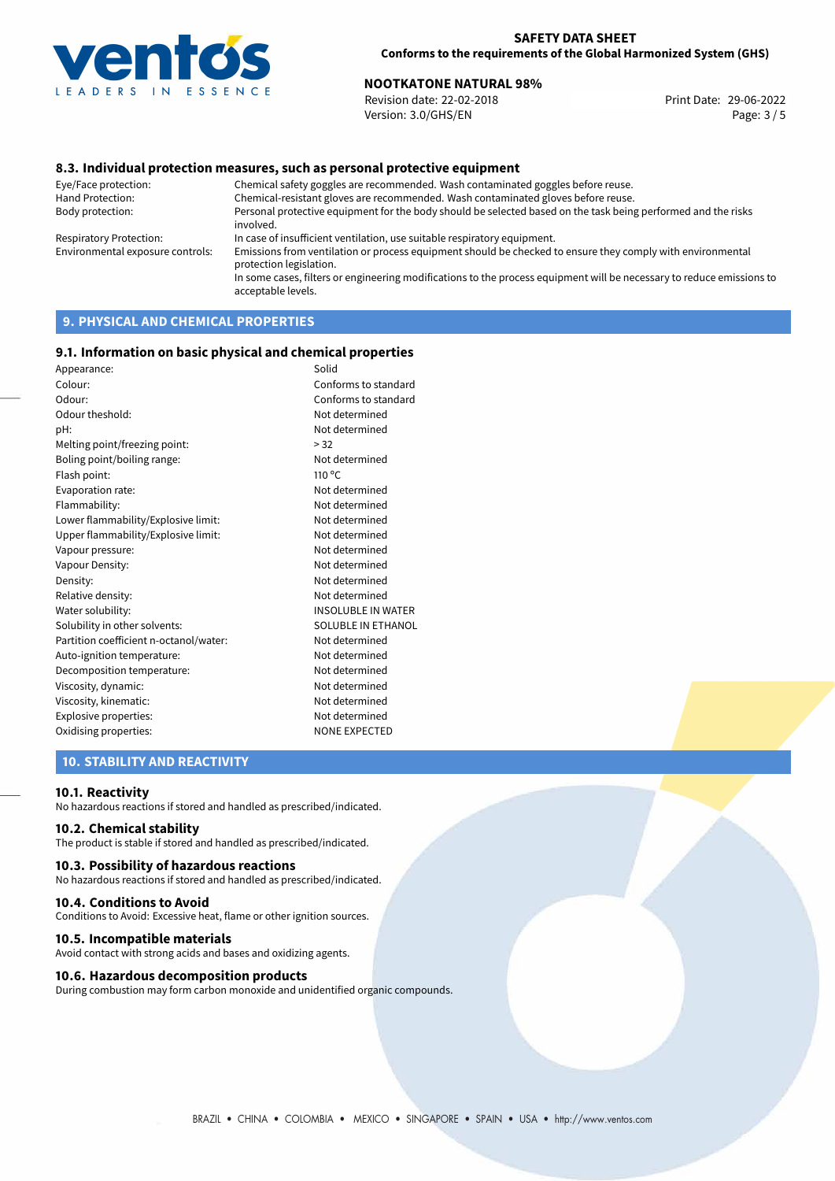

# **NOOTKATONE NATURAL 98%**<br>
Revision date: 22-02-2018<br> **Print Date: 29-06-2022**

Revision date: 22-02-2018 Version: 3.0/GHS/EN Page: 3 / 5

### **8.3. Individual protection measures, such as personal protective equipment**

Eye/Face protection: Chemical safety goggles are recommended. Wash contaminated goggles before reuse. Chemical-resistant gloves are recommended. Wash contaminated gloves before reuse. Body protection: Personal protective equipment for the body should be selected based on the task being performed and the risks involved. Respiratory Protection: In case of insufficient ventilation, use suitable respiratory equipment. Environmental exposure controls: Emissions from ventilation or process equipment should be checked to ensure they comply with environmental protection legislation. In some cases, filters or engineering modifications to the process equipment will be necessary to reduce emissions to acceptable levels.

## **9. PHYSICAL AND CHEMICAL PROPERTIES**

### **9.1. Information on basic physical and chemical properties**

| Appearance:                            | Solid                     |
|----------------------------------------|---------------------------|
| Colour:                                | Conforms to standard      |
| Odour:                                 | Conforms to standard      |
| Odour theshold:                        | Not determined            |
| pH:                                    | Not determined            |
| Melting point/freezing point:          | > 32                      |
| Boling point/boiling range:            | Not determined            |
| Flash point:                           | $110^{\circ}$ C           |
| Evaporation rate:                      | Not determined            |
| Flammability:                          | Not determined            |
| Lower flammability/Explosive limit:    | Not determined            |
| Upper flammability/Explosive limit:    | Not determined            |
| Vapour pressure:                       | Not determined            |
| Vapour Density:                        | Not determined            |
| Density:                               | Not determined            |
| Relative density:                      | Not determined            |
| Water solubility:                      | <b>INSOLUBLE IN WATER</b> |
| Solubility in other solvents:          | <b>SOLUBLE IN ETHANOL</b> |
| Partition coefficient n-octanol/water: | Not determined            |
| Auto-ignition temperature:             | Not determined            |
| Decomposition temperature:             | Not determined            |
| Viscosity, dynamic:                    | Not determined            |
| Viscosity, kinematic:                  | Not determined            |
| Explosive properties:                  | Not determined            |
| Oxidising properties:                  | <b>NONE EXPECTED</b>      |
|                                        |                           |

## **10. STABILITY AND REACTIVITY**

### **10.1. Reactivity**

No hazardous reactions if stored and handled as prescribed/indicated.

### **10.2. Chemical stability**

The product is stable if stored and handled as prescribed/indicated.

#### **10.3. Possibility of hazardous reactions**

No hazardous reactions if stored and handled as prescribed/indicated.

#### **10.4. Conditions to Avoid**

Conditions to Avoid: Excessive heat, flame or other ignition sources.

### **10.5. Incompatible materials**

Avoid contact with strong acids and bases and oxidizing agents.

### **10.6. Hazardous decomposition products**

During combustion may form carbon monoxide and unidentified organic compounds.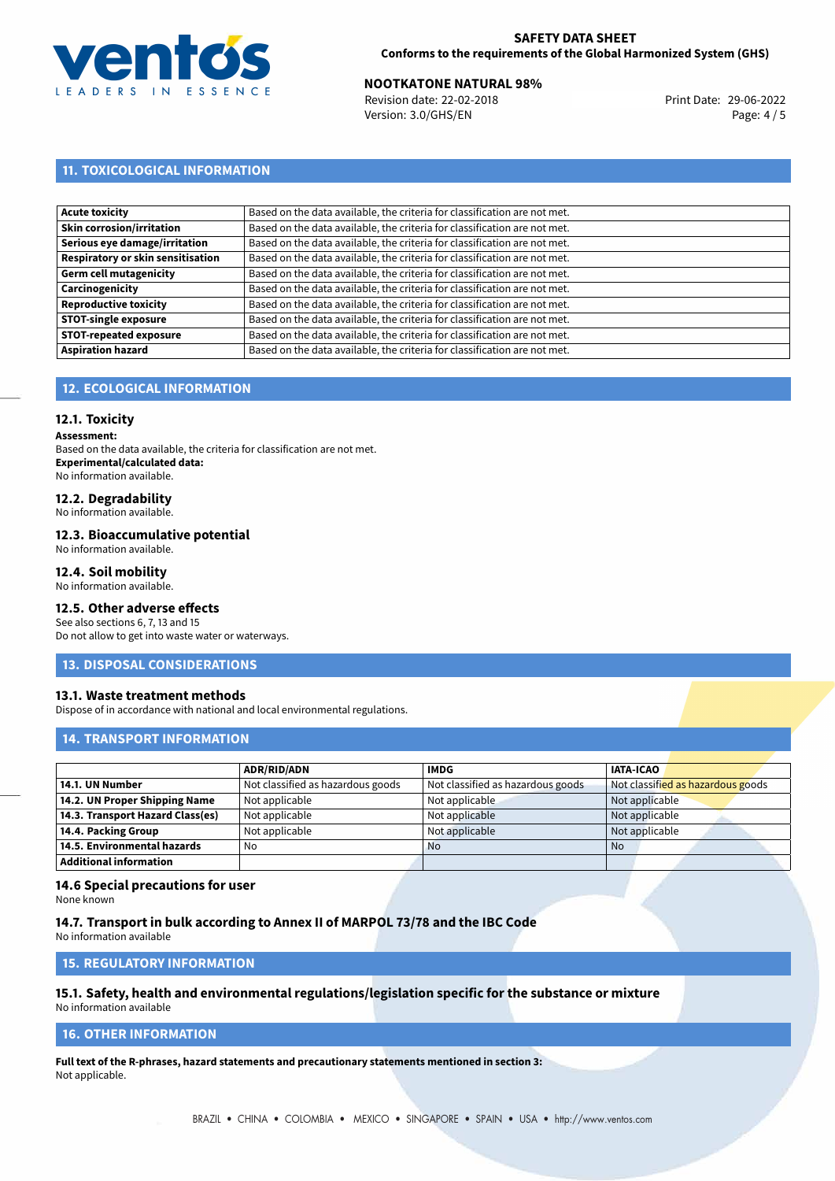

### **SAFETY DATA SHEET Conforms to the requirements of the Global Harmonized System (GHS)**

# **NOOTKATONE NATURAL 98%**<br>
Revision date: 22-02-2018<br> **Print Date: 29-06-2022**

Revision date: 22-02-2018 Version: 3.0/GHS/EN Page: 4 / 5

## **11. TOXICOLOGICAL INFORMATION**

| <b>Acute toxicity</b>             | Based on the data available, the criteria for classification are not met. |
|-----------------------------------|---------------------------------------------------------------------------|
| <b>Skin corrosion/irritation</b>  | Based on the data available, the criteria for classification are not met. |
| Serious eye damage/irritation     | Based on the data available, the criteria for classification are not met. |
| Respiratory or skin sensitisation | Based on the data available, the criteria for classification are not met. |
| Germ cell mutagenicity            | Based on the data available, the criteria for classification are not met. |
| Carcinogenicity                   | Based on the data available, the criteria for classification are not met. |
| <b>Reproductive toxicity</b>      | Based on the data available, the criteria for classification are not met. |
| <b>STOT-single exposure</b>       | Based on the data available, the criteria for classification are not met. |
| <b>STOT-repeated exposure</b>     | Based on the data available, the criteria for classification are not met. |
| <b>Aspiration hazard</b>          | Based on the data available, the criteria for classification are not met. |

## **12. ECOLOGICAL INFORMATION**

### **12.1. Toxicity**

**Assessment:**

Based on the data available, the criteria for classification are not met. **Experimental/calculated data:** No information available.

## **12.2. Degradability**

No information available.

### **12.3. Bioaccumulative potential**

No information available.

## **12.4. Soil mobility**

No information available.

## **12.5. Other adverse effects**

See also sections 6, 7, 13 and 15 Do not allow to get into waste water or waterways.

### **13. DISPOSAL CONSIDERATIONS**

### **13.1. Waste treatment methods**

Dispose of in accordance with national and local environmental regulations.

### **14. TRANSPORT INFORMATION**

|                                  | <b>ADR/RID/ADN</b>                | <b>IMDG</b>                       | <b>IATA-ICAO</b>                  |
|----------------------------------|-----------------------------------|-----------------------------------|-----------------------------------|
| 14.1. UN Number                  | Not classified as hazardous goods | Not classified as hazardous goods | Not classified as hazardous goods |
| 14.2. UN Proper Shipping Name    | Not applicable                    | Not applicable                    | Not applicable                    |
| 14.3. Transport Hazard Class(es) | Not applicable                    | Not applicable                    | Not applicable                    |
| 14.4. Packing Group              | Not applicable                    | Not applicable                    | Not applicable                    |
| 14.5. Environmental hazards      | No                                | <b>No</b>                         | No                                |
| <b>Additional information</b>    |                                   |                                   |                                   |

### **14.6 Special precautions for user**

None known

### **14.7. Transport in bulk according to Annex II of MARPOL 73/78 and the IBC Code**

No information available

## **15. REGULATORY INFORMATION**

# **15.1. Safety, health and environmental regulations/legislation specific for the substance or mixture**

No information available

## **16. OTHER INFORMATION**

**Full text of the R-phrases, hazard statements and precautionary statements mentioned in section 3:** Not applicable.